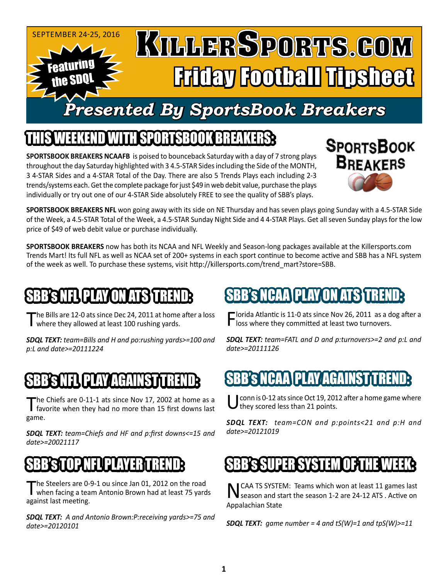

### IEEKEND WITH SPORTSBOOK BREAKI

**SPORTSBOOK BREAKERS NCAAFB** is poised to bounceback Saturday with a day of 7 strong plays throughout the day Saturday highlighted with 3 4.5-STAR Sides including the Side of the MONTH, 3 4-STAR Sides and a 4-STAR Total of the Day. There are also 5 Trends Plays each including 2-3 trends/systems each. Get the complete package for just \$49 in web debit value, purchase the plays individually or try out one of our 4-STAR Side absolutely FREE to see the quality of SBB's plays.



**SPORTSBOOK BREAKERS NFL** won going away with its side on NE Thursday and has seven plays going Sunday with a 4.5-STAR Side of the Week, a 4.5-STAR Total of the Week, a 4.5-STAR Sunday Night Side and 4 4-STAR Plays. Get all seven Sunday plays for the low price of \$49 of web debit value or purchase individually.

**SPORTSBOOK BREAKERS** now has both its NCAA and NFL Weekly and Season-long packages available at the Killersports.com Trends Mart! Its full NFL as well as NCAA set of 200+ systems in each sport continue to become active and SBB has a NFL system of the week as well. To purchase these systems, visit http://killersports.com/trend\_mart?store=SBB.

### B'S NFL\PLAY ON ATS TRE

The Bills are 12-0 ats since Dec 24, 2011 at home after a loss where they allowed at least 100 rushing yards.

*SDQL TEXT: team=Bills and H and po:rushing yards>=100 and p:L and date>=20111224*

#### SBBSNEL PLAY AGAINST TREND

The Chiefs are 0-11-1 ats since Nov 17, 2002 at home as a favorite when they had no more than 15 first downs last game.

*SDQL TEXT: team=Chiefs and HF and p:first downs<=15 and date>=20021117*

#### SBB'S TOP NEUPLAYER TREND:

The Steelers are 0-9-1 ou since Jan 01, 2012 on the road<br>when facing a team Antonio Brown had at least 75 yards against last meeting.

*SDQL TEXT: A and Antonio Brown:P:receiving yards>=75 and date>=20120101*

# 'S NCAA\PLAY ON ATS <del>T</del>

 $\blacksquare$  lorida Atlantic is 11-0 ats since Nov 26, 2011 as a dog after a  $\Gamma$  loss where they committed at least two turnovers.

*SDQL TEXT: team=FATL and D and p:turnovers>=2 and p:L and date>=20111126*

## 'S NCAA\PLAY/AGA

conn is 0-12 ats since Oct 19, 2012 after a home game where they scored less than 21 points.

*SDQL TEXT: team=CON and p:points<21 and p:H and date>=20121019*

#### SBB's SUPER SYSTEM OF THE WEEK:

NCAA TS SYSTEM: Teams which won at least 11 games last season and start the season 1-2 are 24-12 ATS . Active on Appalachian State

*SDQL TEXT: game number = 4 and tS(W)=1 and tpS(W)>=11*